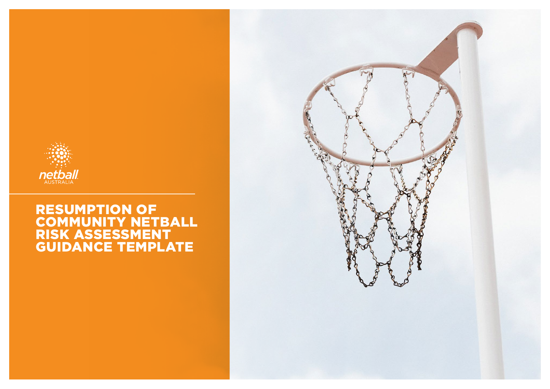

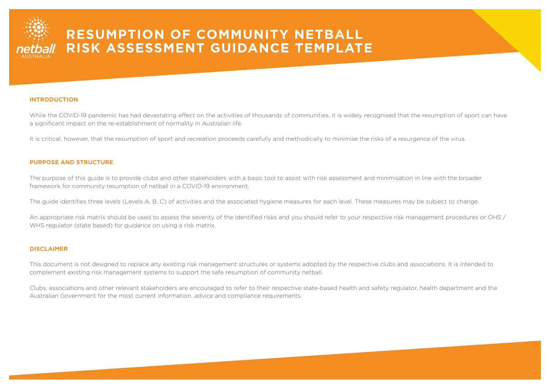

#### **INTRODUCTION**

While the COVID-19 pandemic has had devastating effect on the activities of thousands of communities, it is widely recognised that the resumption of sport can have a significant impact on the re-establishment of normality in Australian life.

It is critical, however, that the resumption of sport and recreation proceeds carefully and methodically to minimise the risks of a resurgence of the virus.

#### **PURPOSE AND STRUCTURE**

The purpose of this guide is to provide clubs and other stakeholders with a basic tool to assist with risk assessment and minimisation in line with the broader framework for community resumption of netball in a COVID-19 environment.

The guide identifies three levels (Levels A, B, C) of activities and the associated hygiene measures for each level. These measures may be subject to change.

An appropriate risk matrix should be used to assess the severity of the identified risks and you should refer to your respective risk management procedures or OHS / WHS regulator (state based) for guidance on using a risk matrix.

#### **DISCLAIMER**

This document is not designed to replace any existing risk management structures or systems adopted by the respective clubs and associations. It is intended to complement existing risk management systems to support the safe resumption of community netball.

Clubs, associations and other relevant stakeholders are encouraged to refer to their respective state-based health and safety regulator, health department and the Australian Government for the most current information, advice and compliance requirements.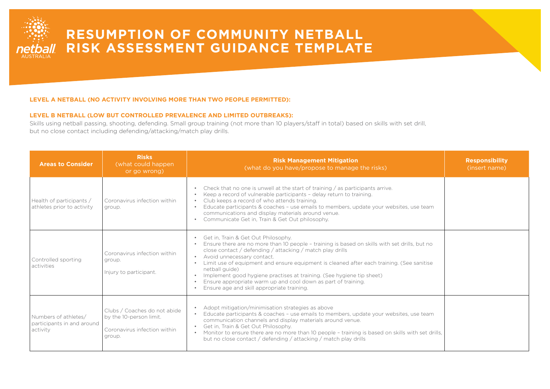

### **LEVEL A NETBALL (NO ACTIVITY INVOLVING MORE THAN TWO PEOPLE PERMITTED):**

### **LEVEL B NETBALL (LOW BUT CONTROLLED PREVALENCE AND LIMITED OUTBREAKS):**

Skills using netball passing, shooting, defending. Small group training (not more than 10 players/staff in total) based on skills with set drill, but no close contact including defending/attacking/match play drills.

| <b>Areas to Consider</b>                                       | <b>Risks</b><br>(what could happen)<br>or go wrong)                                               | <b>Risk Management Mitigation</b><br>(what do you have/propose to manage the risks)                                                                                                                                                                                                                                                                                                                                                                                                                                                          | <b>Responsibility</b><br>(insert name) |
|----------------------------------------------------------------|---------------------------------------------------------------------------------------------------|----------------------------------------------------------------------------------------------------------------------------------------------------------------------------------------------------------------------------------------------------------------------------------------------------------------------------------------------------------------------------------------------------------------------------------------------------------------------------------------------------------------------------------------------|----------------------------------------|
| Health of participants /<br>athletes prior to activity         | Coronavirus infection within<br>group.                                                            | Check that no one is unwell at the start of training / as participants arrive.<br>Keep a record of vulnerable participants - delay return to training.<br>Club keeps a record of who attends training.<br>Educate participants & coaches - use emails to members, update your websites, use team<br>communications and display materials around venue.<br>• Communicate Get in, Train & Get Out philosophy.                                                                                                                                  |                                        |
| Controlled sporting<br>activities                              | Coronavirus infection within<br>group.<br>Injury to participant.                                  | • Get in, Train & Get Out Philosophy.<br>Ensure there are no more than 10 people - training is based on skills with set drills, but no<br>close contact / defending / attacking / match play drills<br>• Avoid unnecessary contact.<br>Limit use of equipment and ensure equipment is cleaned after each training. (See sanitise<br>netball quide)<br>• Implement good hygiene practises at training. (See hygiene tip sheet)<br>Ensure appropriate warm up and cool down as part of training.<br>Ensure age and skill appropriate training. |                                        |
| Numbers of athletes/<br>participants in and around<br>activity | Clubs / Coaches do not abide<br>by the 10-person limit.<br>Coronavirus infection within<br>group. | Adopt mitigation/minimisation strategies as above<br>Educate participants & coaches - use emails to members, update your websites, use team<br>communication channels and display materials around venue.<br>Get in, Train & Get Out Philosophy.<br>Monitor to ensure there are no more than 10 people - training is based on skills with set drills,<br>but no close contact / defending / attacking / match play drills                                                                                                                    |                                        |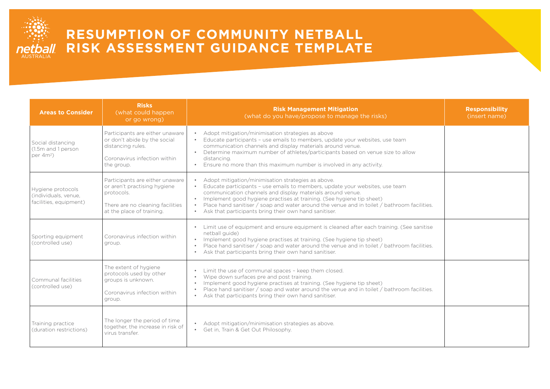

| <b>Areas to Consider</b>                                            | <b>Risks</b><br>(what could happen)<br>or go wrong)                                                                                            | <b>Risk Management Mitigation</b><br>(what do you have/propose to manage the risks)                                                                                                                                                                                                                                                                                                                                                                         | <b>Responsibility</b><br>(insert name) |
|---------------------------------------------------------------------|------------------------------------------------------------------------------------------------------------------------------------------------|-------------------------------------------------------------------------------------------------------------------------------------------------------------------------------------------------------------------------------------------------------------------------------------------------------------------------------------------------------------------------------------------------------------------------------------------------------------|----------------------------------------|
| Social distancing<br>(1.5m and 1 person<br>per 4m <sup>2</sup> )    | Participants are either unaware<br>or don't abide by the social<br>distancing rules.<br>Coronavirus infection within<br>the group.             | Adopt mitigation/minimisation strategies as above<br>Educate participants - use emails to members, update your websites, use team<br>communication channels and display materials around venue.<br>Determine maximum number of athletes/participants based on venue size to allow<br>$\bullet$<br>distancing.<br>Ensure no more than this maximum number is involved in any activity.<br>$\bullet$                                                          |                                        |
| Hygiene protocols<br>(individuals, venue,<br>facilities, equipment) | Participants are either unaware<br>or aren't practising hygiene<br>protocols.<br>There are no cleaning facilities<br>at the place of training. | Adopt mitigation/minimisation strategies as above.<br>Educate participants - use emails to members, update your websites, use team<br>communication channels and display materials around venue.<br>Implement good hygiene practises at training. (See hygiene tip sheet)<br>$\bullet$<br>Place hand sanitiser / soap and water around the venue and in toilet / bathroom facilities.<br>$\bullet$<br>Ask that participants bring their own hand sanitiser. |                                        |
| Sporting equipment<br>(controlled use)                              | Coronavirus infection within<br>group.                                                                                                         | Limit use of equipment and ensure equipment is cleaned after each training. (See sanitise<br>$\bullet$<br>netball quide)<br>• Implement good hygiene practises at training. (See hygiene tip sheet)<br>Place hand sanitiser / soap and water around the venue and in toilet / bathroom facilities.<br>Ask that participants bring their own hand sanitiser.                                                                                                 |                                        |
| Communal facilities<br>(controlled use)                             | The extent of hygiene<br>protocols used by other<br>groups is unknown.<br>Coronavirus infection within<br>group.                               | Limit the use of communal spaces - keep them closed.<br>Wipe down surfaces pre and post training.<br>Implement good hygiene practises at training. (See hygiene tip sheet)<br>Place hand sanitiser / soap and water around the venue and in toilet / bathroom facilities.<br>$\bullet$<br>Ask that participants bring their own hand sanitiser.                                                                                                             |                                        |
| Training practice<br>(duration restrictions)                        | The longer the period of time<br>together, the increase in risk of<br>virus transfer.                                                          | • Adopt mitigation/minimisation strategies as above.<br>Get in, Train & Get Out Philosophy.<br>$\bullet$                                                                                                                                                                                                                                                                                                                                                    |                                        |